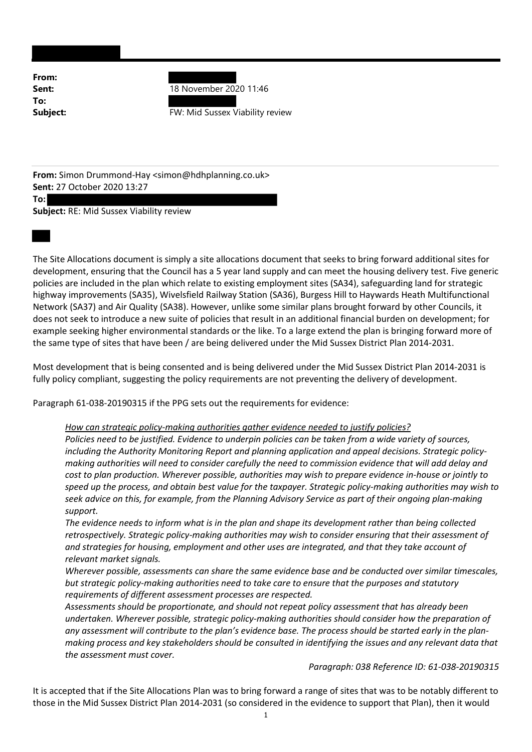From: To:

**Sent:** 18 November 2020 11:46

**Subject:** FW: Mid Sussex Viability review

From: Simon Drummond-Hay <simon@hdhplanning.co.uk> Sent: 27 October 2020 13:27

To:

Subject: RE: Mid Sussex Viability review

The Site Allocations document is simply a site allocations document that seeks to bring forward additional sites for development, ensuring that the Council has a 5 year land supply and can meet the housing delivery test. Five generic policies are included in the plan which relate to existing employment sites (SA34), safeguarding land for strategic highway improvements (SA35), Wivelsfield Railway Station (SA36), Burgess Hill to Haywards Heath Multifunctional Network (SA37) and Air Quality (SA38). However, unlike some similar plans brought forward by other Councils, it does not seek to introduce a new suite of policies that result in an additional financial burden on development; for example seeking higher environmental standards or the like. To a large extend the plan is bringing forward more of the same type of sites that have been / are being delivered under the Mid Sussex District Plan 2014-2031.

Most development that is being consented and is being delivered under the Mid Sussex District Plan 2014-2031 is fully policy compliant, suggesting the policy requirements are not preventing the delivery of development.

Paragraph 61-038-20190315 if the PPG sets out the requirements for evidence:

## How can strategic policy-making authorities gather evidence needed to justify policies?

Policies need to be justified. Evidence to underpin policies can be taken from a wide variety of sources, including the Authority Monitoring Report and planning application and appeal decisions. Strategic policymaking authorities will need to consider carefully the need to commission evidence that will add delay and cost to plan production. Wherever possible, authorities may wish to prepare evidence in-house or jointly to speed up the process, and obtain best value for the taxpayer. Strategic policy-making authorities may wish to seek advice on this, for example, from the Planning Advisory Service as part of their ongoing plan-making support.

The evidence needs to inform what is in the plan and shape its development rather than being collected retrospectively. Strategic policy-making authorities may wish to consider ensuring that their assessment of and strategies for housing, employment and other uses are integrated, and that they take account of relevant market signals.

Wherever possible, assessments can share the same evidence base and be conducted over similar timescales, but strategic policy-making authorities need to take care to ensure that the purposes and statutory requirements of different assessment processes are respected.

Assessments should be proportionate, and should not repeat policy assessment that has already been undertaken. Wherever possible, strategic policy-making authorities should consider how the preparation of any assessment will contribute to the plan's evidence base. The process should be started early in the planmaking process and key stakeholders should be consulted in identifying the issues and any relevant data that the assessment must cover.

## Paragraph: 038 Reference ID: 61-038-20190315

It is accepted that if the Site Allocations Plan was to bring forward a range of sites that was to be notably different to those in the Mid Sussex District Plan 2014-2031 (so considered in the evidence to support that Plan), then it would